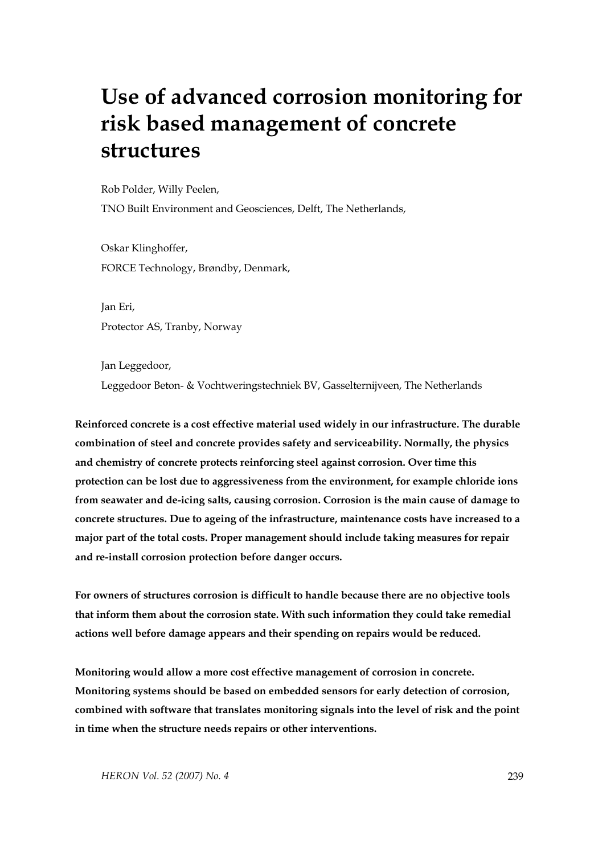# **Use of advanced corrosion monitoring for risk based management of concrete structures**

Rob Polder, Willy Peelen,

TNO Built Environment and Geosciences, Delft, The Netherlands,

Oskar Klinghoffer, FORCE Technology, Brøndby, Denmark,

Jan Eri, Protector AS, Tranby, Norway

Jan Leggedoor, Leggedoor Beton- & Vochtweringstechniek BV, Gasselternijveen, The Netherlands

**Reinforced concrete is a cost effective material used widely in our infrastructure. The durable combination of steel and concrete provides safety and serviceability. Normally, the physics and chemistry of concrete protects reinforcing steel against corrosion. Over time this protection can be lost due to aggressiveness from the environment, for example chloride ions from seawater and de-icing salts, causing corrosion. Corrosion is the main cause of damage to concrete structures. Due to ageing of the infrastructure, maintenance costs have increased to a major part of the total costs. Proper management should include taking measures for repair and re-install corrosion protection before danger occurs.** 

**For owners of structures corrosion is difficult to handle because there are no objective tools that inform them about the corrosion state. With such information they could take remedial actions well before damage appears and their spending on repairs would be reduced.** 

**Monitoring would allow a more cost effective management of corrosion in concrete. Monitoring systems should be based on embedded sensors for early detection of corrosion, combined with software that translates monitoring signals into the level of risk and the point in time when the structure needs repairs or other interventions.**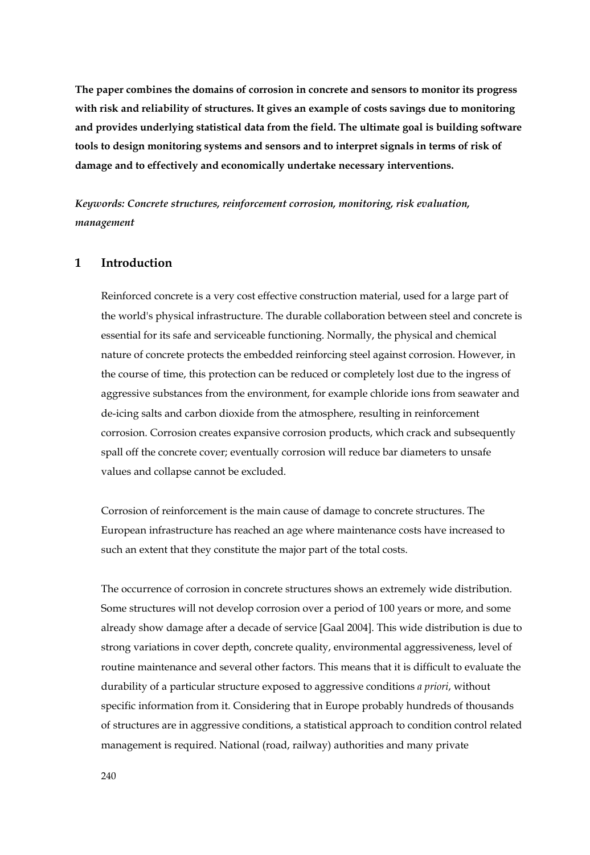**The paper combines the domains of corrosion in concrete and sensors to monitor its progress with risk and reliability of structures. It gives an example of costs savings due to monitoring and provides underlying statistical data from the field. The ultimate goal is building software tools to design monitoring systems and sensors and to interpret signals in terms of risk of damage and to effectively and economically undertake necessary interventions.** 

*Keywords: Concrete structures, reinforcement corrosion, monitoring, risk evaluation, management* 

# **1 Introduction**

Reinforced concrete is a very cost effective construction material, used for a large part of the world's physical infrastructure. The durable collaboration between steel and concrete is essential for its safe and serviceable functioning. Normally, the physical and chemical nature of concrete protects the embedded reinforcing steel against corrosion. However, in the course of time, this protection can be reduced or completely lost due to the ingress of aggressive substances from the environment, for example chloride ions from seawater and de-icing salts and carbon dioxide from the atmosphere, resulting in reinforcement corrosion. Corrosion creates expansive corrosion products, which crack and subsequently spall off the concrete cover; eventually corrosion will reduce bar diameters to unsafe values and collapse cannot be excluded.

Corrosion of reinforcement is the main cause of damage to concrete structures. The European infrastructure has reached an age where maintenance costs have increased to such an extent that they constitute the major part of the total costs.

The occurrence of corrosion in concrete structures shows an extremely wide distribution. Some structures will not develop corrosion over a period of 100 years or more, and some already show damage after a decade of service [Gaal 2004]. This wide distribution is due to strong variations in cover depth, concrete quality, environmental aggressiveness, level of routine maintenance and several other factors. This means that it is difficult to evaluate the durability of a particular structure exposed to aggressive conditions *a priori*, without specific information from it. Considering that in Europe probably hundreds of thousands of structures are in aggressive conditions, a statistical approach to condition control related management is required. National (road, railway) authorities and many private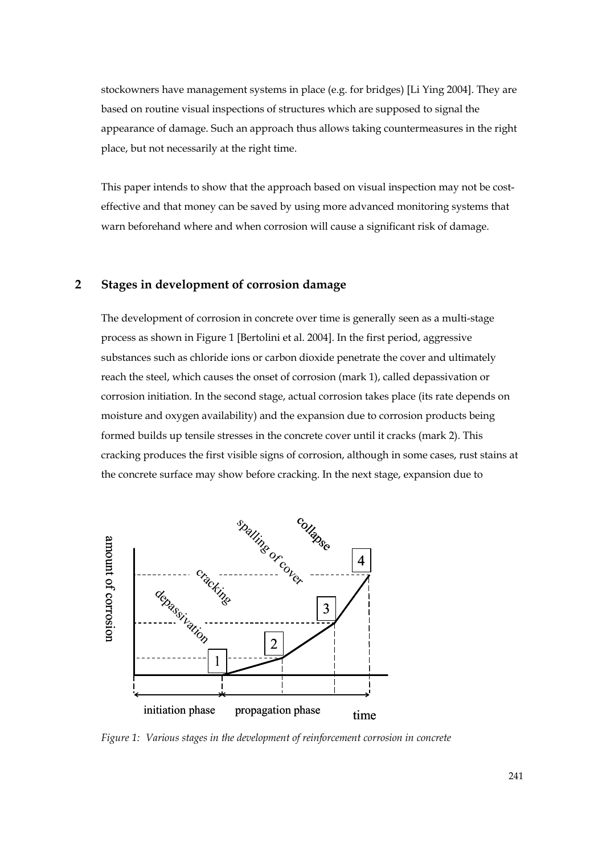stockowners have management systems in place (e.g. for bridges) [Li Ying 2004]. They are based on routine visual inspections of structures which are supposed to signal the appearance of damage. Such an approach thus allows taking countermeasures in the right place, but not necessarily at the right time.

This paper intends to show that the approach based on visual inspection may not be costeffective and that money can be saved by using more advanced monitoring systems that warn beforehand where and when corrosion will cause a significant risk of damage.

# **2 Stages in development of corrosion damage**

The development of corrosion in concrete over time is generally seen as a multi-stage process as shown in Figure 1 [Bertolini et al. 2004]. In the first period, aggressive substances such as chloride ions or carbon dioxide penetrate the cover and ultimately reach the steel, which causes the onset of corrosion (mark 1), called depassivation or corrosion initiation. In the second stage, actual corrosion takes place (its rate depends on moisture and oxygen availability) and the expansion due to corrosion products being formed builds up tensile stresses in the concrete cover until it cracks (mark 2). This cracking produces the first visible signs of corrosion, although in some cases, rust stains at the concrete surface may show before cracking. In the next stage, expansion due to



*Figure 1: Various stages in the development of reinforcement corrosion in concrete*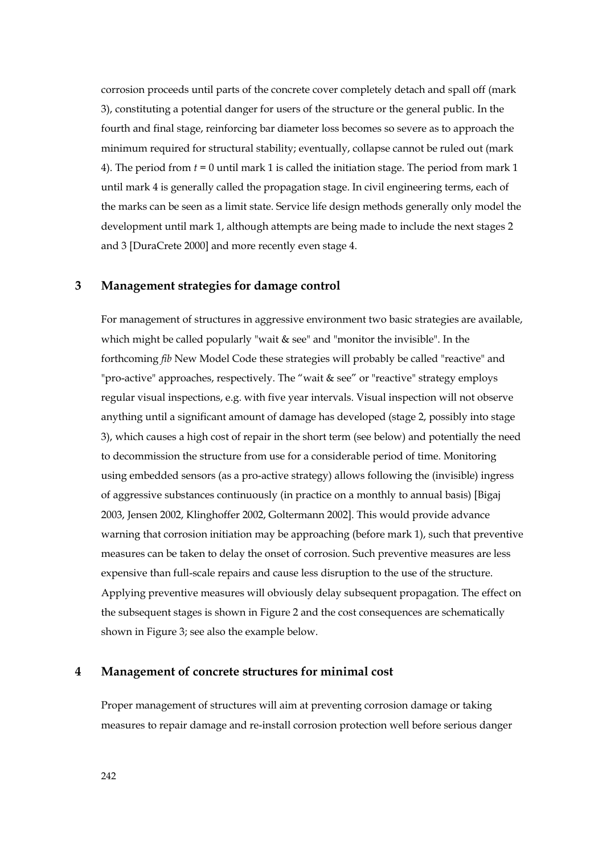corrosion proceeds until parts of the concrete cover completely detach and spall off (mark 3), constituting a potential danger for users of the structure or the general public. In the fourth and final stage, reinforcing bar diameter loss becomes so severe as to approach the minimum required for structural stability; eventually, collapse cannot be ruled out (mark 4). The period from *t* = 0 until mark 1 is called the initiation stage. The period from mark 1 until mark 4 is generally called the propagation stage. In civil engineering terms, each of the marks can be seen as a limit state. Service life design methods generally only model the development until mark 1, although attempts are being made to include the next stages 2 and 3 [DuraCrete 2000] and more recently even stage 4.

#### **3 Management strategies for damage control**

For management of structures in aggressive environment two basic strategies are available, which might be called popularly "wait & see" and "monitor the invisible". In the forthcoming *fib* New Model Code these strategies will probably be called "reactive" and "pro-active" approaches, respectively. The "wait & see" or "reactive" strategy employs regular visual inspections, e.g. with five year intervals. Visual inspection will not observe anything until a significant amount of damage has developed (stage 2, possibly into stage 3), which causes a high cost of repair in the short term (see below) and potentially the need to decommission the structure from use for a considerable period of time. Monitoring using embedded sensors (as a pro-active strategy) allows following the (invisible) ingress of aggressive substances continuously (in practice on a monthly to annual basis) [Bigaj 2003, Jensen 2002, Klinghoffer 2002, Goltermann 2002]. This would provide advance warning that corrosion initiation may be approaching (before mark 1), such that preventive measures can be taken to delay the onset of corrosion. Such preventive measures are less expensive than full-scale repairs and cause less disruption to the use of the structure. Applying preventive measures will obviously delay subsequent propagation. The effect on the subsequent stages is shown in Figure 2 and the cost consequences are schematically shown in Figure 3; see also the example below.

#### **4 Management of concrete structures for minimal cost**

Proper management of structures will aim at preventing corrosion damage or taking measures to repair damage and re-install corrosion protection well before serious danger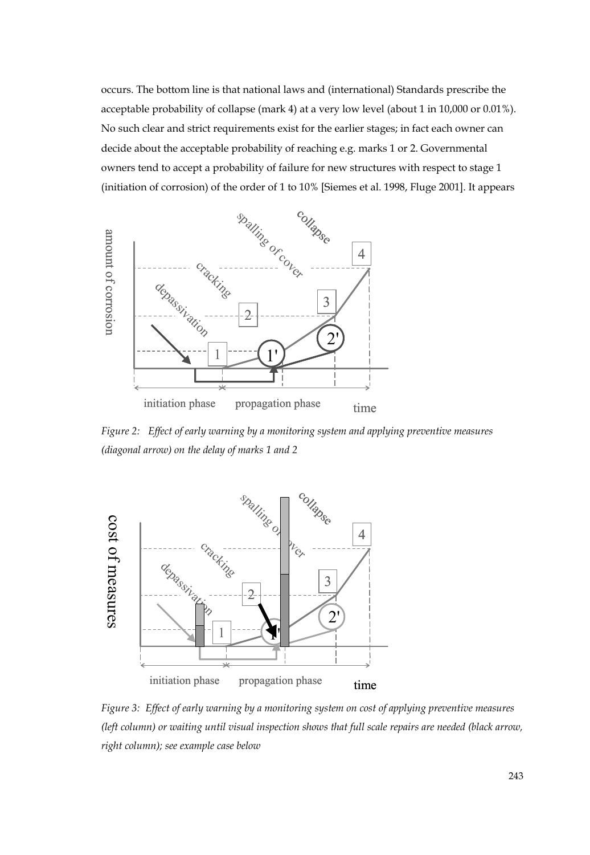occurs. The bottom line is that national laws and (international) Standards prescribe the acceptable probability of collapse (mark 4) at a very low level (about 1 in 10,000 or 0.01%). No such clear and strict requirements exist for the earlier stages; in fact each owner can decide about the acceptable probability of reaching e.g. marks 1 or 2. Governmental owners tend to accept a probability of failure for new structures with respect to stage 1 (initiation of corrosion) of the order of 1 to 10% [Siemes et al. 1998, Fluge 2001]. It appears



*Figure 2: Effect of early warning by a monitoring system and applying preventive measures (diagonal arrow) on the delay of marks 1 and 2* 



*Figure 3: Effect of early warning by a monitoring system on cost of applying preventive measures (left column) or waiting until visual inspection shows that full scale repairs are needed (black arrow, right column); see example case below*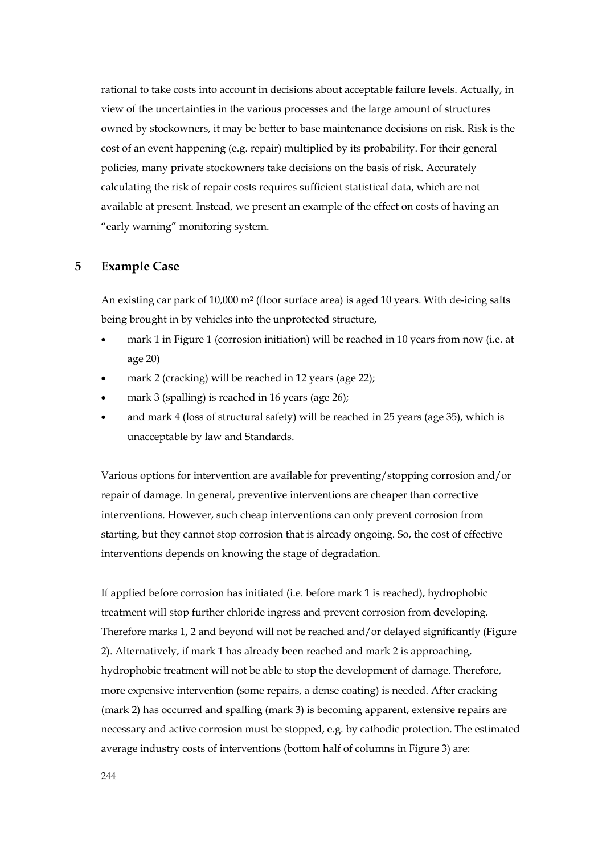rational to take costs into account in decisions about acceptable failure levels. Actually, in view of the uncertainties in the various processes and the large amount of structures owned by stockowners, it may be better to base maintenance decisions on risk. Risk is the cost of an event happening (e.g. repair) multiplied by its probability. For their general policies, many private stockowners take decisions on the basis of risk. Accurately calculating the risk of repair costs requires sufficient statistical data, which are not available at present. Instead, we present an example of the effect on costs of having an "early warning" monitoring system.

#### **5 Example Case**

An existing car park of 10,000 m2 (floor surface area) is aged 10 years. With de-icing salts being brought in by vehicles into the unprotected structure,

- mark 1 in Figure 1 (corrosion initiation) will be reached in 10 years from now (i.e. at age 20)
- mark 2 (cracking) will be reached in 12 years (age 22);
- mark 3 (spalling) is reached in 16 years (age 26);
- and mark 4 (loss of structural safety) will be reached in 25 years (age 35), which is unacceptable by law and Standards.

Various options for intervention are available for preventing/stopping corrosion and/or repair of damage. In general, preventive interventions are cheaper than corrective interventions. However, such cheap interventions can only prevent corrosion from starting, but they cannot stop corrosion that is already ongoing. So, the cost of effective interventions depends on knowing the stage of degradation.

If applied before corrosion has initiated (i.e. before mark 1 is reached), hydrophobic treatment will stop further chloride ingress and prevent corrosion from developing. Therefore marks 1, 2 and beyond will not be reached and/or delayed significantly (Figure 2). Alternatively, if mark 1 has already been reached and mark 2 is approaching, hydrophobic treatment will not be able to stop the development of damage. Therefore, more expensive intervention (some repairs, a dense coating) is needed. After cracking (mark 2) has occurred and spalling (mark 3) is becoming apparent, extensive repairs are necessary and active corrosion must be stopped, e.g. by cathodic protection. The estimated average industry costs of interventions (bottom half of columns in Figure 3) are: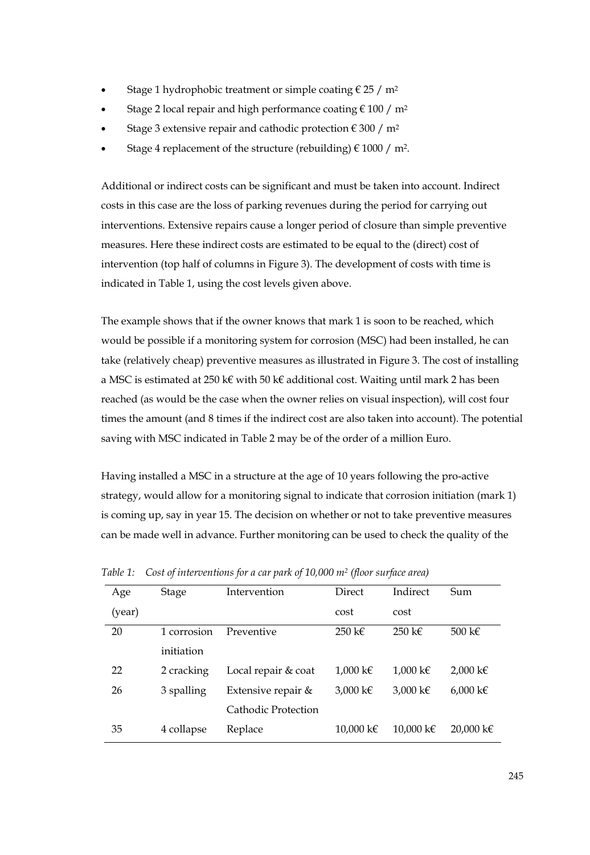- Stage 1 hydrophobic treatment or simple coating  $\epsilon$  25 / m<sup>2</sup>
- Stage 2 local repair and high performance coating  $\epsilon$  100 / m<sup>2</sup>
- Stage 3 extensive repair and cathodic protection  $\epsilon$  300 / m<sup>2</sup>
- Stage 4 replacement of the structure (rebuilding)  $\in$  1000 / m<sup>2</sup>.

Additional or indirect costs can be significant and must be taken into account. Indirect costs in this case are the loss of parking revenues during the period for carrying out interventions. Extensive repairs cause a longer period of closure than simple preventive measures. Here these indirect costs are estimated to be equal to the (direct) cost of intervention (top half of columns in Figure 3). The development of costs with time is indicated in Table 1, using the cost levels given above.

The example shows that if the owner knows that mark 1 is soon to be reached, which would be possible if a monitoring system for corrosion (MSC) had been installed, he can take (relatively cheap) preventive measures as illustrated in Figure 3. The cost of installing a MSC is estimated at 250 k€ with 50 k€ additional cost. Waiting until mark 2 has been reached (as would be the case when the owner relies on visual inspection), will cost four times the amount (and 8 times if the indirect cost are also taken into account). The potential saving with MSC indicated in Table 2 may be of the order of a million Euro.

Having installed a MSC in a structure at the age of 10 years following the pro-active strategy, would allow for a monitoring signal to indicate that corrosion initiation (mark 1) is coming up, say in year 15. The decision on whether or not to take preventive measures can be made well in advance. Further monitoring can be used to check the quality of the

| Age    | Stage       | Intervention        | Direct           | Indirect                 | Sum                |
|--------|-------------|---------------------|------------------|--------------------------|--------------------|
| (year) |             |                     | cost             | cost                     |                    |
| 20     | 1 corrosion | Preventive          | 250 k $\epsilon$ | $250 \text{ } \text{kg}$ | 500 k $\epsilon$   |
|        | initiation  |                     |                  |                          |                    |
| 22     | 2 cracking  | Local repair & coat | 1,000 k€         | $1.000 \text{ kg}$       | $2,000 \text{ kg}$ |
| 26     | 3 spalling  | Extensive repair &  | 3.000 k€         | 3.000 k€                 | $6,000 \text{ kg}$ |
|        |             | Cathodic Protection |                  |                          |                    |
| 35     | 4 collapse  | Replace             | 10.000 k€        | 10,000 k€                | 20,000 k€          |

| Table 1: Cost of interventions for a car park of $10,000$ $m^2$ (floor surface area) |  |  |  |  |  |
|--------------------------------------------------------------------------------------|--|--|--|--|--|
|--------------------------------------------------------------------------------------|--|--|--|--|--|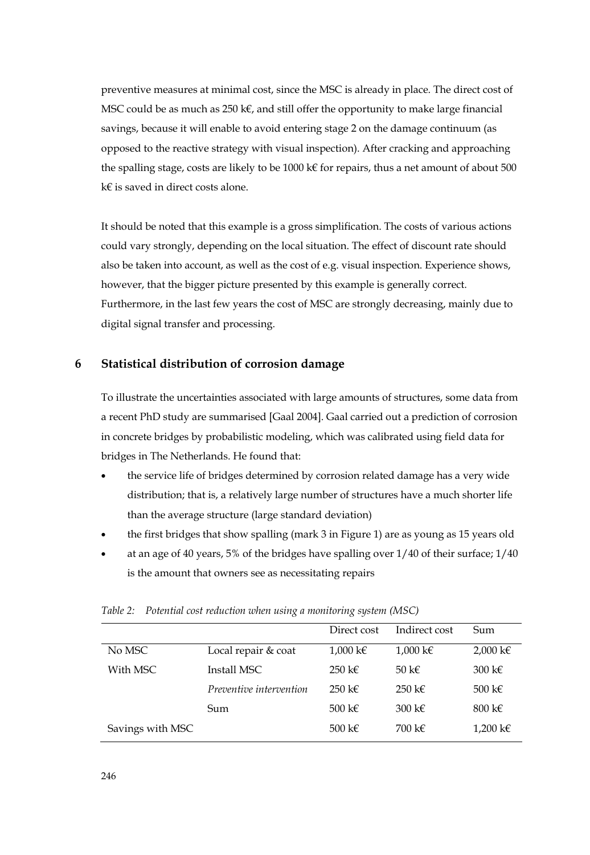preventive measures at minimal cost, since the MSC is already in place. The direct cost of MSC could be as much as  $250 \text{ k}\epsilon$ , and still offer the opportunity to make large financial savings, because it will enable to avoid entering stage 2 on the damage continuum (as opposed to the reactive strategy with visual inspection). After cracking and approaching the spalling stage, costs are likely to be 1000 k€ for repairs, thus a net amount of about 500 k€ is saved in direct costs alone.

It should be noted that this example is a gross simplification. The costs of various actions could vary strongly, depending on the local situation. The effect of discount rate should also be taken into account, as well as the cost of e.g. visual inspection. Experience shows, however, that the bigger picture presented by this example is generally correct. Furthermore, in the last few years the cost of MSC are strongly decreasing, mainly due to digital signal transfer and processing.

## **6 Statistical distribution of corrosion damage**

To illustrate the uncertainties associated with large amounts of structures, some data from a recent PhD study are summarised [Gaal 2004]. Gaal carried out a prediction of corrosion in concrete bridges by probabilistic modeling, which was calibrated using field data for bridges in The Netherlands. He found that:

- the service life of bridges determined by corrosion related damage has a very wide distribution; that is, a relatively large number of structures have a much shorter life than the average structure (large standard deviation)
- the first bridges that show spalling (mark 3 in Figure 1) are as young as 15 years old
- at an age of 40 years, 5% of the bridges have spalling over  $1/40$  of their surface;  $1/40$ is the amount that owners see as necessitating repairs

|                  |                         | Direct cost              | Indirect cost            | Sum              |
|------------------|-------------------------|--------------------------|--------------------------|------------------|
| No MSC           | Local repair & coat     | 1,000 k€                 | $1,000 \text{ kg}$       | 2,000 k€         |
| With MSC         | Install MSC             | $250 \text{ } \text{kg}$ | 50 k $\epsilon$          | 300 k $\epsilon$ |
|                  | Preventive intervention | $250 \text{ } \text{kg}$ | $250 \text{ } \text{kg}$ | 500 k $\epsilon$ |
|                  | Sum                     | 500 k $\epsilon$         | 300 k $\epsilon$         | 800 k $\epsilon$ |
| Savings with MSC |                         | 500 k $\epsilon$         | 700 k $\epsilon$         | 1,200 k€         |

|  | Table 2: Potential cost reduction when using a monitoring system (MSC) |  |  |  |
|--|------------------------------------------------------------------------|--|--|--|
|  |                                                                        |  |  |  |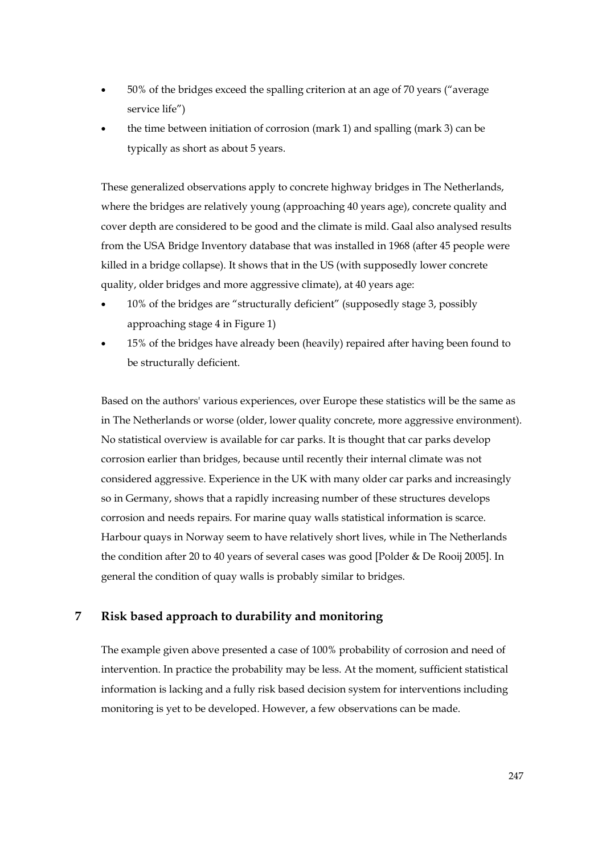- 50% of the bridges exceed the spalling criterion at an age of 70 years ("average service life")
- the time between initiation of corrosion (mark 1) and spalling (mark 3) can be typically as short as about 5 years.

These generalized observations apply to concrete highway bridges in The Netherlands, where the bridges are relatively young (approaching 40 years age), concrete quality and cover depth are considered to be good and the climate is mild. Gaal also analysed results from the USA Bridge Inventory database that was installed in 1968 (after 45 people were killed in a bridge collapse). It shows that in the US (with supposedly lower concrete quality, older bridges and more aggressive climate), at 40 years age:

- 10% of the bridges are "structurally deficient" (supposedly stage 3, possibly approaching stage 4 in Figure 1)
- 15% of the bridges have already been (heavily) repaired after having been found to be structurally deficient.

Based on the authors' various experiences, over Europe these statistics will be the same as in The Netherlands or worse (older, lower quality concrete, more aggressive environment). No statistical overview is available for car parks. It is thought that car parks develop corrosion earlier than bridges, because until recently their internal climate was not considered aggressive. Experience in the UK with many older car parks and increasingly so in Germany, shows that a rapidly increasing number of these structures develops corrosion and needs repairs. For marine quay walls statistical information is scarce. Harbour quays in Norway seem to have relatively short lives, while in The Netherlands the condition after 20 to 40 years of several cases was good [Polder & De Rooij 2005]. In general the condition of quay walls is probably similar to bridges.

# **7 Risk based approach to durability and monitoring**

The example given above presented a case of 100% probability of corrosion and need of intervention. In practice the probability may be less. At the moment, sufficient statistical information is lacking and a fully risk based decision system for interventions including monitoring is yet to be developed. However, a few observations can be made.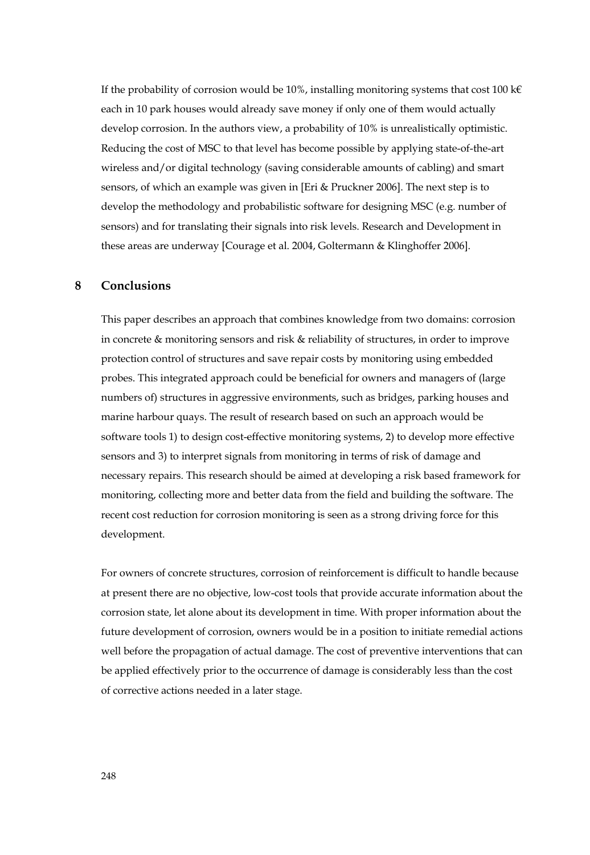If the probability of corrosion would be 10%, installing monitoring systems that cost 100 k $\epsilon$ each in 10 park houses would already save money if only one of them would actually develop corrosion. In the authors view, a probability of 10% is unrealistically optimistic. Reducing the cost of MSC to that level has become possible by applying state-of-the-art wireless and/or digital technology (saving considerable amounts of cabling) and smart sensors, of which an example was given in [Eri & Pruckner 2006]. The next step is to develop the methodology and probabilistic software for designing MSC (e.g. number of sensors) and for translating their signals into risk levels. Research and Development in these areas are underway [Courage et al. 2004, Goltermann & Klinghoffer 2006].

#### **8 Conclusions**

This paper describes an approach that combines knowledge from two domains: corrosion in concrete & monitoring sensors and risk & reliability of structures, in order to improve protection control of structures and save repair costs by monitoring using embedded probes. This integrated approach could be beneficial for owners and managers of (large numbers of) structures in aggressive environments, such as bridges, parking houses and marine harbour quays. The result of research based on such an approach would be software tools 1) to design cost-effective monitoring systems, 2) to develop more effective sensors and 3) to interpret signals from monitoring in terms of risk of damage and necessary repairs. This research should be aimed at developing a risk based framework for monitoring, collecting more and better data from the field and building the software. The recent cost reduction for corrosion monitoring is seen as a strong driving force for this development.

For owners of concrete structures, corrosion of reinforcement is difficult to handle because at present there are no objective, low-cost tools that provide accurate information about the corrosion state, let alone about its development in time. With proper information about the future development of corrosion, owners would be in a position to initiate remedial actions well before the propagation of actual damage. The cost of preventive interventions that can be applied effectively prior to the occurrence of damage is considerably less than the cost of corrective actions needed in a later stage.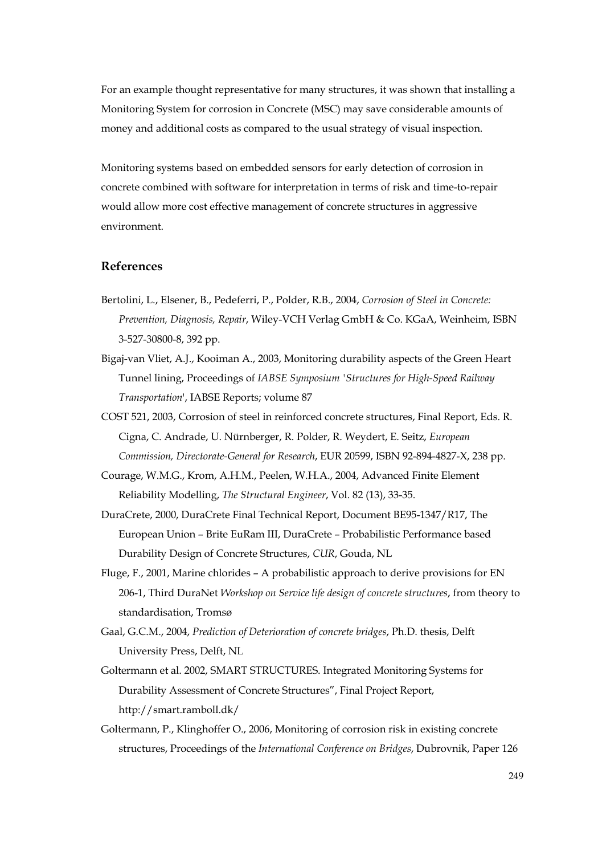For an example thought representative for many structures, it was shown that installing a Monitoring System for corrosion in Concrete (MSC) may save considerable amounts of money and additional costs as compared to the usual strategy of visual inspection.

Monitoring systems based on embedded sensors for early detection of corrosion in concrete combined with software for interpretation in terms of risk and time-to-repair would allow more cost effective management of concrete structures in aggressive environment.

## **References**

- Bertolini, L., Elsener, B., Pedeferri, P., Polder, R.B., 2004, *Corrosion of Steel in Concrete: Prevention, Diagnosis, Repair*, Wiley-VCH Verlag GmbH & Co. KGaA, Weinheim, ISBN 3-527-30800-8, 392 pp.
- Bigaj-van Vliet, A.J., Kooiman A., 2003, Monitoring durability aspects of the Green Heart Tunnel lining, Proceedings of *IABSE Symposium 'Structures for High-Speed Railway Transportation*', IABSE Reports; volume 87
- COST 521, 2003, Corrosion of steel in reinforced concrete structures, Final Report, Eds. R. Cigna, C. Andrade, U. Nürnberger, R. Polder, R. Weydert, E. Seitz, *European Commission, Directorate-General for Research*, EUR 20599, ISBN 92-894-4827-X, 238 pp.
- Courage, W.M.G., Krom, A.H.M., Peelen, W.H.A., 2004, Advanced Finite Element Reliability Modelling, *The Structural Engineer*, Vol. 82 (13), 33-35.
- DuraCrete, 2000, DuraCrete Final Technical Report, Document BE95-1347/R17, The European Union – Brite EuRam III, DuraCrete – Probabilistic Performance based Durability Design of Concrete Structures, *CUR*, Gouda, NL
- Fluge, F., 2001, Marine chlorides A probabilistic approach to derive provisions for EN 206-1, Third DuraNet *Workshop on Service life design of concrete structures*, from theory to standardisation, Tromsø
- Gaal, G.C.M., 2004, *Prediction of Deterioration of concrete bridges*, Ph.D. thesis, Delft University Press, Delft, NL
- Goltermann et al. 2002, SMART STRUCTURES. Integrated Monitoring Systems for Durability Assessment of Concrete Structures", Final Project Report, http://smart.ramboll.dk/
- Goltermann, P., Klinghoffer O., 2006, Monitoring of corrosion risk in existing concrete structures, Proceedings of the *International Conference on Bridges*, Dubrovnik, Paper 126